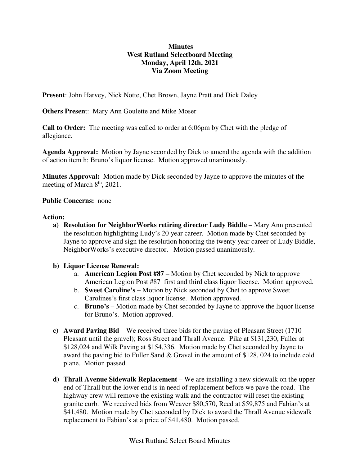# **Minutes West Rutland Selectboard Meeting Monday, April 12th, 2021 Via Zoom Meeting**

**Present**: John Harvey, Nick Notte, Chet Brown, Jayne Pratt and Dick Daley

**Others Presen**t: Mary Ann Goulette and Mike Moser

**Call to Order:** The meeting was called to order at 6:06pm by Chet with the pledge of allegiance.

**Agenda Approval:** Motion by Jayne seconded by Dick to amend the agenda with the addition of action item h: Bruno's liquor license. Motion approved unanimously.

**Minutes Approval:** Motion made by Dick seconded by Jayne to approve the minutes of the meeting of March  $8<sup>th</sup>$ , 2021.

### **Public Concerns:** none

### **Action:**

**a) Resolution for NeighborWorks retiring director Ludy Biddle –** Mary Ann presented the resolution highlighting Ludy's 20 year career. Motion made by Chet seconded by Jayne to approve and sign the resolution honoring the twenty year career of Ludy Biddle, NeighborWorks's executive director. Motion passed unanimously.

### **b) Liquor License Renewal:**

- a. **American Legion Post #87 –** Motion by Chet seconded by Nick to approve American Legion Post #87 first and third class liquor license. Motion approved.
- b. **Sweet Caroline's –** Motion by Nick seconded by Chet to approve Sweet Carolines's first class liquor license. Motion approved.
- c. **Bruno's –** Motion made by Chet seconded by Jayne to approve the liquor license for Bruno's. Motion approved.
- **c) Award Paving Bid** We received three bids for the paving of Pleasant Street (1710 Pleasant until the gravel); Ross Street and Thrall Avenue. Pike at \$131,230, Fuller at \$128,024 and Wilk Paving at \$154,336. Motion made by Chet seconded by Jayne to award the paving bid to Fuller Sand & Gravel in the amount of \$128, 024 to include cold plane. Motion passed.
- **d) Thrall Avenue Sidewalk Replacement** We are installing a new sidewalk on the upper end of Thrall but the lower end is in need of replacement before we pave the road. The highway crew will remove the existing walk and the contractor will reset the existing granite curb. We received bids from Weaver \$80,570, Reed at \$59,875 and Fabian's at \$41,480. Motion made by Chet seconded by Dick to award the Thrall Avenue sidewalk replacement to Fabian's at a price of \$41,480. Motion passed.